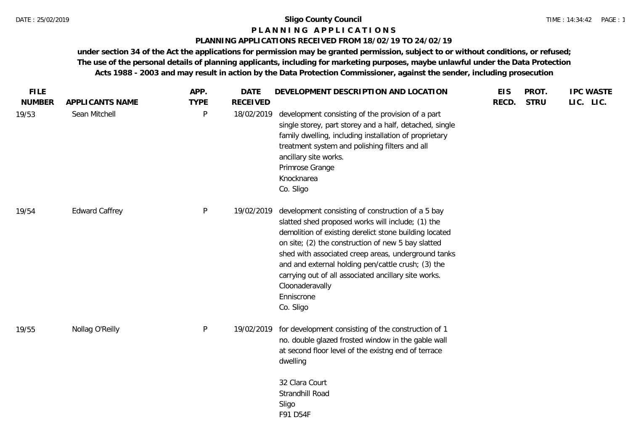## **P L A N N I N G A P P L I C A T I O N S**

## **PLANNING APPLICATIONS RECEIVED FROM 18/02/19 TO 24/02/19**

**under section 34 of the Act the applications for permission may be granted permission, subject to or without conditions, or refused; The use of the personal details of planning applicants, including for marketing purposes, maybe unlawful under the Data Protection Acts 1988 - 2003 and may result in action by the Data Protection Commissioner, against the sender, including prosecution**

| <b>FILE</b>   |                       | APP.         | <b>DATE</b>     | DEVELOPMENT DESCRIPTION AND LOCATION                                                                                                                                                                                                                                                                                                                                                                                                      | <b>EIS</b> | PROT.       | <b>IPC WASTE</b> |
|---------------|-----------------------|--------------|-----------------|-------------------------------------------------------------------------------------------------------------------------------------------------------------------------------------------------------------------------------------------------------------------------------------------------------------------------------------------------------------------------------------------------------------------------------------------|------------|-------------|------------------|
| <b>NUMBER</b> | APPLICANTS NAME       | <b>TYPE</b>  | <b>RECEIVED</b> |                                                                                                                                                                                                                                                                                                                                                                                                                                           | RECD.      | <b>STRU</b> | LIC. LIC.        |
| 19/53         | Sean Mitchell         | P            | 18/02/2019      | development consisting of the provision of a part<br>single storey, part storey and a half, detached, single<br>family dwelling, including installation of proprietary<br>treatment system and polishing filters and all<br>ancillary site works.<br>Primrose Grange<br>Knocknarea<br>Co. Sligo                                                                                                                                           |            |             |                  |
| 19/54         | <b>Edward Caffrey</b> | $\mathsf{P}$ | 19/02/2019      | development consisting of construction of a 5 bay<br>slatted shed proposed works will include; (1) the<br>demolition of existing derelict stone building located<br>on site; (2) the construction of new 5 bay slatted<br>shed with associated creep areas, underground tanks<br>and and external holding pen/cattle crush; (3) the<br>carrying out of all associated ancillary site works.<br>Cloonaderavally<br>Enniscrone<br>Co. Sligo |            |             |                  |
| 19/55         | Nollag O'Reilly       | $\mathsf{P}$ | 19/02/2019      | for development consisting of the construction of 1<br>no. double glazed frosted window in the gable wall<br>at second floor level of the existng end of terrace<br>dwelling<br>32 Clara Court<br>Strandhill Road<br>Sligo<br>F91 D54F                                                                                                                                                                                                    |            |             |                  |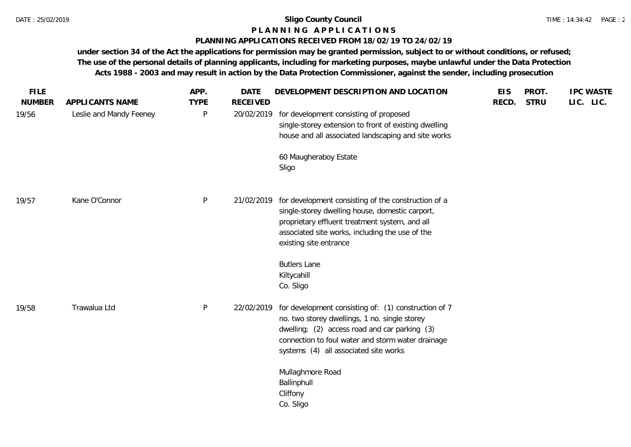## **P L A N N I N G A P P L I C A T I O N S**

## **PLANNING APPLICATIONS RECEIVED FROM 18/02/19 TO 24/02/19**

**under section 34 of the Act the applications for permission may be granted permission, subject to or without conditions, or refused; The use of the personal details of planning applicants, including for marketing purposes, maybe unlawful under the Data Protection Acts 1988 - 2003 and may result in action by the Data Protection Commissioner, against the sender, including prosecution**

| <b>FILE</b>   |                         | APP.        | <b>DATE</b>     | DEVELOPMENT DESCRIPTION AND LOCATION                                                               | <b>EIS</b> | PROT.       | <b>IPC WASTE</b> |  |
|---------------|-------------------------|-------------|-----------------|----------------------------------------------------------------------------------------------------|------------|-------------|------------------|--|
| <b>NUMBER</b> | APPLICANTS NAME         | <b>TYPE</b> | <b>RECEIVED</b> |                                                                                                    | RECD.      | <b>STRU</b> | LIC. LIC.        |  |
| 19/56         | Leslie and Mandy Feeney | P           | 20/02/2019      | for development consisting of proposed<br>single-storey extension to front of existing dwelling    |            |             |                  |  |
|               |                         |             |                 | house and all associated landscaping and site works                                                |            |             |                  |  |
|               |                         |             |                 | 60 Maugheraboy Estate<br>Sligo                                                                     |            |             |                  |  |
|               |                         |             |                 |                                                                                                    |            |             |                  |  |
| 19/57         | Kane O'Connor           | P           |                 | 21/02/2019 for development consisting of the construction of a                                     |            |             |                  |  |
|               |                         |             |                 | single-storey dwelling house, domestic carport,<br>proprietary effluent treatment system, and all  |            |             |                  |  |
|               |                         |             |                 | associated site works, including the use of the                                                    |            |             |                  |  |
|               |                         |             |                 | existing site entrance                                                                             |            |             |                  |  |
|               |                         |             |                 | <b>Butlers Lane</b>                                                                                |            |             |                  |  |
|               |                         |             |                 | Kiltycahill                                                                                        |            |             |                  |  |
|               |                         |             |                 | Co. Sligo                                                                                          |            |             |                  |  |
| 19/58         | Trawalua Ltd            | P           | 22/02/2019      | for development consisting of: (1) construction of 7                                               |            |             |                  |  |
|               |                         |             |                 | no. two storey dwellings, 1 no. single storey                                                      |            |             |                  |  |
|               |                         |             |                 | dwelling; (2) access road and car parking (3)<br>connection to foul water and storm water drainage |            |             |                  |  |
|               |                         |             |                 | systems (4) all associated site works                                                              |            |             |                  |  |
|               |                         |             |                 | Mullaghmore Road                                                                                   |            |             |                  |  |
|               |                         |             |                 | Ballinphull                                                                                        |            |             |                  |  |
|               |                         |             |                 | Cliffony                                                                                           |            |             |                  |  |
|               |                         |             |                 | Co. Sligo                                                                                          |            |             |                  |  |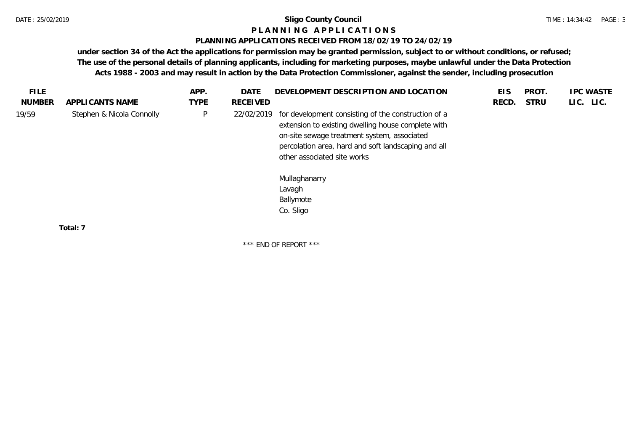#### **P L A N N I N G A P P L I C A T I O N S**

#### **PLANNING APPLICATIONS RECEIVED FROM 18/02/19 TO 24/02/19**

**under section 34 of the Act the applications for permission may be granted permission, subject to or without conditions, or refused; The use of the personal details of planning applicants, including for marketing purposes, maybe unlawful under the Data Protection Acts 1988 - 2003 and may result in action by the Data Protection Commissioner, against the sender, including prosecution**

|               |                           | APP.        | DATE       | DEVELOPMENT DESCRIPTION AND LOCATION                                                                                                                                                                                                                                                   | EIS   | PROT.       | <b>IPC WASTE</b> |
|---------------|---------------------------|-------------|------------|----------------------------------------------------------------------------------------------------------------------------------------------------------------------------------------------------------------------------------------------------------------------------------------|-------|-------------|------------------|
| <b>NUMBER</b> | APPLICANTS NAME           | <b>TYPE</b> | RECEIVED   |                                                                                                                                                                                                                                                                                        | RECD. | <b>STRU</b> | LIC. LIC.        |
| 19/59         | Stephen & Nicola Connolly | P           | 22/02/2019 | for development consisting of the construction of a<br>extension to existing dwelling house complete with<br>on-site sewage treatment system, associated<br>percolation area, hard and soft landscaping and all<br>other associated site works<br>Mullaghanarry<br>Lavagh<br>Ballymote |       |             |                  |
|               |                           |             |            | Co. Sligo                                                                                                                                                                                                                                                                              |       |             |                  |

\*\*\* END OF REPORT \*\*\*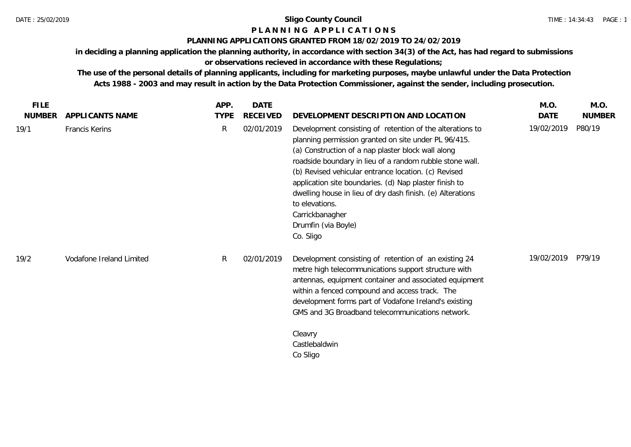## **P L A N N I N G A P P L I C A T I O N S**

## **PLANNING APPLICATIONS GRANTED FROM 18/02/2019 TO 24/02/2019**

**in deciding a planning application the planning authority, in accordance with section 34(3) of the Act, has had regard to submissions** 

# **or observations recieved in accordance with these Regulations;**

**The use of the personal details of planning applicants, including for marketing purposes, maybe unlawful under the Data Protection Acts 1988 - 2003 and may result in action by the Data Protection Commissioner, against the sender, including prosecution.**

| <b>FILE</b>   |                          | APP.         | DATE       |                                                                                                                                                                                                                                                                                                                                                                                                                                                                                              | M.O.       | M.O.          |
|---------------|--------------------------|--------------|------------|----------------------------------------------------------------------------------------------------------------------------------------------------------------------------------------------------------------------------------------------------------------------------------------------------------------------------------------------------------------------------------------------------------------------------------------------------------------------------------------------|------------|---------------|
| <b>NUMBER</b> | APPLICANTS NAME          | <b>TYPE</b>  | RECEIVED   | DEVELOPMENT DESCRIPTION AND LOCATION                                                                                                                                                                                                                                                                                                                                                                                                                                                         | DATE       | <b>NUMBER</b> |
| 19/1          | Francis Kerins           | $\mathsf{R}$ | 02/01/2019 | Development consisting of retention of the alterations to<br>planning permission granted on site under PL 96/415.<br>(a) Construction of a nap plaster block wall along<br>roadside boundary in lieu of a random rubble stone wall.<br>(b) Revised vehicular entrance location. (c) Revised<br>application site boundaries. (d) Nap plaster finish to<br>dwelling house in lieu of dry dash finish. (e) Alterations<br>to elevations.<br>Carrickbanagher<br>Drumfin (via Boyle)<br>Co. Sligo | 19/02/2019 | P80/19        |
| 19/2          | Vodafone Ireland Limited | R.           | 02/01/2019 | Development consisting of retention of an existing 24<br>metre high telecommunications support structure with<br>antennas, equipment container and associated equipment<br>within a fenced compound and access track. The<br>development forms part of Vodafone Ireland's existing<br>GMS and 3G Broadband telecommunications network.<br>Cleavry<br>Castlebaldwin<br>Co Sligo                                                                                                               | 19/02/2019 | P79/19        |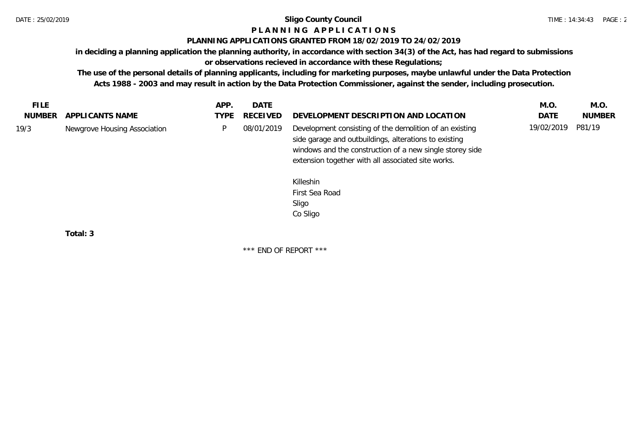# **P L A N N I N G A P P L I C A T I O N S**

## **PLANNING APPLICATIONS GRANTED FROM 18/02/2019 TO 24/02/2019**

**in deciding a planning application the planning authority, in accordance with section 34(3) of the Act, has had regard to submissions or observations recieved in accordance with these Regulations;**

**The use of the personal details of planning applicants, including for marketing purposes, maybe unlawful under the Data Protection Acts 1988 - 2003 and may result in action by the Data Protection Commissioner, against the sender, including prosecution.**

|      |                              |                                                                                                                                                                                                                                    | M.O.       | M.O.          |
|------|------------------------------|------------------------------------------------------------------------------------------------------------------------------------------------------------------------------------------------------------------------------------|------------|---------------|
| TYPE | <b>RECEIVED</b>              | DEVELOPMENT DESCRIPTION AND LOCATION                                                                                                                                                                                               | DATE       | <b>NUMBER</b> |
| P    | 08/01/2019                   | Development consisting of the demolition of an existing<br>side garage and outbuildings, alterations to existing<br>windows and the construction of a new single storey side<br>extension together with all associated site works. | 19/02/2019 | P81/19        |
|      |                              | Killeshin<br>First Sea Road<br>Sligo                                                                                                                                                                                               |            |               |
|      | Newgrove Housing Association |                                                                                                                                                                                                                                    | Co Sligo   |               |

**Total: 3**

\*\*\* END OF REPORT \*\*\*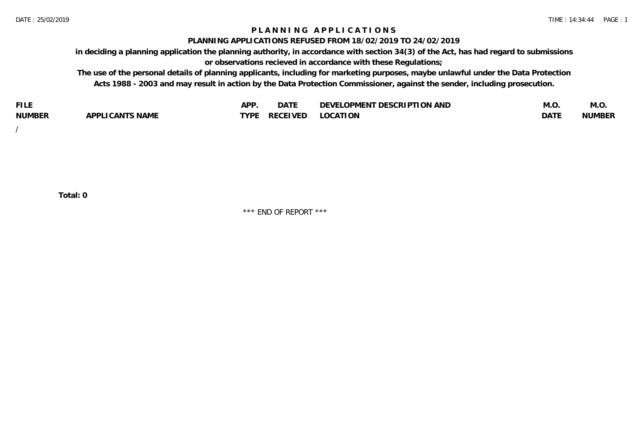## **P L A N N I N G A P P L I C A T I O N S**

#### **PLANNING APPLICATIONS REFUSED FROM 18/02/2019 TO 24/02/2019**

**in deciding a planning application the planning authority, in accordance with section 34(3) of the Act, has had regard to submissions or observations recieved in accordance with these Regulations;**

**The use of the personal details of planning applicants, including for marketing purposes, maybe unlawful under the Data Protection Acts 1988 - 2003 and may result in action by the Data Protection Commissioner, against the sender, including prosecution.**

| <b>FILE</b>   |                                                     | A DE | $\sim$ $\sim$ $\sim$<br>DA I | <b>ENT DESCRIPTION AND</b><br>$\cap$ nn.<br>)E\/F<br>. JIEN L<br>பட | IVI.U       | IVI.U         |
|---------------|-----------------------------------------------------|------|------------------------------|---------------------------------------------------------------------|-------------|---------------|
| <b>NUMBER</b> | <b>ANTS NAME</b><br>A DDI<br>$\sqrt{2}$<br>CAN<br>u | TVDL | ◡⊢                           | <b>OCATION</b>                                                      | <b>DATF</b> | <b>NUMBER</b> |

/

**Total: 0**

\*\*\* END OF REPORT \*\*\*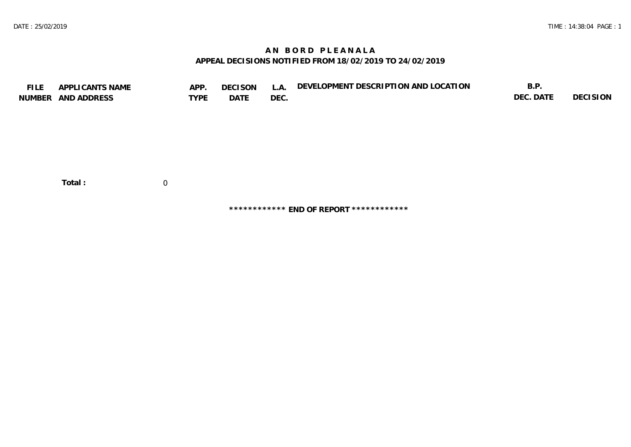# **A N B O R D P L E A N A L A APPEAL DECISIONS NOTIFIED FROM 18/02/2019 TO 24/02/2019**

| <b>FILE</b> | APPLICANTS NAME<br>NUMBER AND ADDRESS | APP.<br><b>TYPE</b> | <b>DECISON</b><br>DATE | L.A.<br>DEC. | DEVELOPMENT DESCRIPTION AND LOCATION | B.P.<br>DEC. DATE | DECISION |
|-------------|---------------------------------------|---------------------|------------------------|--------------|--------------------------------------|-------------------|----------|
|             | Total:                                | 0                   |                        |              |                                      |                   |          |

**\*\*\*\*\*\*\*\*\*\*\*\* END OF REPORT \*\*\*\*\*\*\*\*\*\*\*\***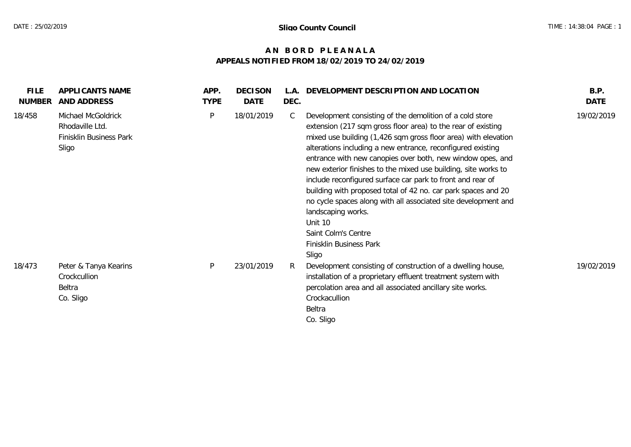# **A N B O R D P L E A N A L A APPEALS NOTIFIED FROM 18/02/2019 TO 24/02/2019**

| <b>FILE</b><br><b>NUMBER</b> | APPLICANTS NAME<br>AND ADDRESS                                            | APP.<br><b>TYPE</b> | <b>DECISON</b><br>DATE | L.A.<br>DEC. | DEVELOPMENT DESCRIPTION AND LOCATION                                                                                                                                                                                                                                                                                                                                                                                                                                                                                                                                                                                                                                                   | B.P.<br><b>DATE</b> |
|------------------------------|---------------------------------------------------------------------------|---------------------|------------------------|--------------|----------------------------------------------------------------------------------------------------------------------------------------------------------------------------------------------------------------------------------------------------------------------------------------------------------------------------------------------------------------------------------------------------------------------------------------------------------------------------------------------------------------------------------------------------------------------------------------------------------------------------------------------------------------------------------------|---------------------|
| 18/458                       | Michael McGoldrick<br>Rhodaville Ltd.<br>Finisklin Business Park<br>Sligo | P                   | 18/01/2019             | C            | Development consisting of the demolition of a cold store<br>extension (217 sqm gross floor area) to the rear of existing<br>mixed use building (1,426 sqm gross floor area) with elevation<br>alterations including a new entrance, reconfigured existing<br>entrance with new canopies over both, new window opes, and<br>new exterior finishes to the mixed use building, site works to<br>include reconfigured surface car park to front and rear of<br>building with proposed total of 42 no. car park spaces and 20<br>no cycle spaces along with all associated site development and<br>landscaping works.<br>Unit 10<br>Saint Colm's Centre<br>Finisklin Business Park<br>Sligo | 19/02/2019          |
| 18/473                       | Peter & Tanya Kearins<br>Crockcullion<br>Beltra<br>Co. Sligo              | P                   | 23/01/2019             | R            | Development consisting of construction of a dwelling house,<br>installation of a proprietary effluent treatment system with<br>percolation area and all associated ancillary site works.<br>Crockacullion<br>Beltra<br>Co. Sligo                                                                                                                                                                                                                                                                                                                                                                                                                                                       | 19/02/2019          |